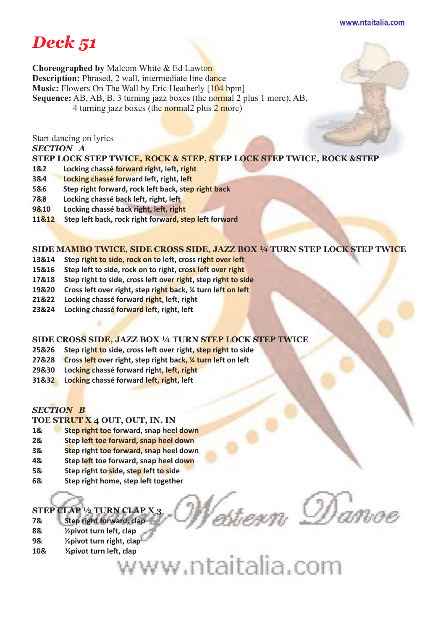#### **www.ntaitalia.com**

# *Deck 51*

**Choreographed by** Malcom White & Ed Lawton **Description:** Phrased, 2 wall, intermediate line dance **Music:** Flowers On The Wall by Eric Heatherly [104 bpm] **Sequence:** AB, AB, B, 3 turning jazz boxes (the normal 2 plus 1 more), AB, 4 turning jazz boxes (the normal 2 plus  $2$  more)

Start dancing on lyrics

*SECTION A* 

**STEP LOCK STEP TWICE, ROCK & STEP, STEP LOCK STEP TWICE, ROCK &STEP** 

- **1&2 Locking chassé forward right, left, right**
- **3&4 Locking chassé forward left, right, left**
- **5&6 Step right forward, rock left back, step right back**
- **7&8 Locking chassé back left, right, left**
- **9&10 Locking chassé back right, left, right**
- **11&12 Step left back, rock right forward, step left forward**

# **SIDE MAMBO TWICE, SIDE CROSS SIDE, JAZZ BOX ¼ TURN STEP LOCK STEP TWICE**

- **13&14 Step right to side, rock on to left, cross right over left**
- **15&16 Step left to side, rock on to right, cross left over right**
- **17&18 Step right to side, cross left over right, step right to side**
- **19&20 Cross left over right, step right back, ¼ turn left on left**
- **21&22 Locking chassé forward right, left, right**
- **23&24 Locking chassé forward left, right, left**

# **SIDE CROSS SIDE, JAZZ BOX ¼ TURN STEP LOCK STEP TWICE**

- **25&26 Step right to side, cross left over right, step right to side**
- **27&28 Cross left over right, step right back, ¼ turn left on left**
- **29&30 Locking chassé forward right, left, right**
- **31&32 Locking chassé forward left, right, left**

# *SECTION B*

# **TOE STRUT X 4 OUT, OUT, IN, IN**

- **1& Step right toe forward, snap heel down**
- **2& Step left toe forward, snap heel down**
- **3& Step right toe forward, snap heel down**
- **4& Step left toe forward, snap heel down**
- **5& Step right to side, step left to side**
- **6& Step right home, step left together**

# **STEP CLAP ½ TURN CLAP X 3**

- **7& Step right forward, clap**
- **8& ½pivot turn left, clap**
- **9& ½pivot turn right, clap**
- **10& ½pivot turn left, clap** 
	- w.ntaitalia.com

stern